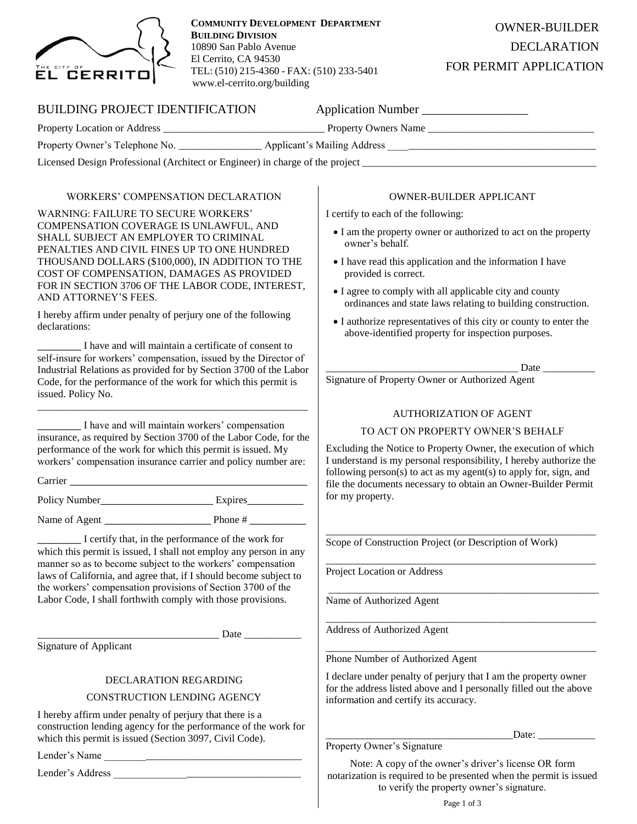

Lender's Address

**COMMUNITY DEVELOPMENT DEPARTMENT BUILDING DIVISION** 10890 San Pablo Avenue El Cerrito, CA 94530 TEL: (510) 215-4360 - FAX: (510) 233-5401 www.el-cerrito.org/building

 OWNER-BUILDER **DECLARATION** FOR PERMIT APPLICATION  $\mathbf{F}$  and  $\mathbf{F}$   $\mathbf{F}$   $\mathbf{F}$   $\mathbf{F}$   $\mathbf{F}$   $\mathbf{F}$   $\mathbf{F}$   $\mathbf{F}$   $\mathbf{F}$   $\mathbf{F}$   $\mathbf{F}$   $\mathbf{F}$   $\mathbf{F}$   $\mathbf{F}$   $\mathbf{F}$   $\mathbf{F}$   $\mathbf{F}$   $\mathbf{F}$   $\mathbf{F}$   $\mathbf{F}$   $\mathbf{F}$   $\mathbf{F}$   $\mathbf{F}$ 

| <b>BUILDING PROJECT IDENTIFICATION</b>                                                                                                                                                                                                                                                                                                             |                                                                                                                                                                                                                                                                                                                                          |  |
|----------------------------------------------------------------------------------------------------------------------------------------------------------------------------------------------------------------------------------------------------------------------------------------------------------------------------------------------------|------------------------------------------------------------------------------------------------------------------------------------------------------------------------------------------------------------------------------------------------------------------------------------------------------------------------------------------|--|
|                                                                                                                                                                                                                                                                                                                                                    |                                                                                                                                                                                                                                                                                                                                          |  |
|                                                                                                                                                                                                                                                                                                                                                    |                                                                                                                                                                                                                                                                                                                                          |  |
|                                                                                                                                                                                                                                                                                                                                                    |                                                                                                                                                                                                                                                                                                                                          |  |
|                                                                                                                                                                                                                                                                                                                                                    |                                                                                                                                                                                                                                                                                                                                          |  |
| WORKERS' COMPENSATION DECLARATION                                                                                                                                                                                                                                                                                                                  | <b>OWNER-BUILDER APPLICANT</b>                                                                                                                                                                                                                                                                                                           |  |
| WARNING: FAILURE TO SECURE WORKERS'<br>COMPENSATION COVERAGE IS UNLAWFUL, AND<br>SHALL SUBJECT AN EMPLOYER TO CRIMINAL<br>PENALTIES AND CIVIL FINES UP TO ONE HUNDRED<br>THOUSAND DOLLARS (\$100,000), IN ADDITION TO THE<br>COST OF COMPENSATION, DAMAGES AS PROVIDED<br>FOR IN SECTION 3706 OF THE LABOR CODE, INTEREST,<br>AND ATTORNEY'S FEES. | I certify to each of the following:<br>• I am the property owner or authorized to act on the property<br>owner's behalf.<br>• I have read this application and the information I have<br>provided is correct.<br>• I agree to comply with all applicable city and county<br>ordinances and state laws relating to building construction. |  |
| I hereby affirm under penalty of perjury one of the following<br>declarations:                                                                                                                                                                                                                                                                     | • I authorize representatives of this city or county to enter the<br>above-identified property for inspection purposes.                                                                                                                                                                                                                  |  |
| I have and will maintain a certificate of consent to<br>self-insure for workers' compensation, issued by the Director of<br>Industrial Relations as provided for by Section 3700 of the Labor<br>Code, for the performance of the work for which this permit is<br>issued. Policy No.                                                              | Signature of Property Owner or Authorized Agent                                                                                                                                                                                                                                                                                          |  |
|                                                                                                                                                                                                                                                                                                                                                    | <b>AUTHORIZATION OF AGENT</b>                                                                                                                                                                                                                                                                                                            |  |
| I have and will maintain workers' compensation<br>insurance, as required by Section 3700 of the Labor Code, for the                                                                                                                                                                                                                                | TO ACT ON PROPERTY OWNER'S BEHALF                                                                                                                                                                                                                                                                                                        |  |
| performance of the work for which this permit is issued. My<br>workers' compensation insurance carrier and policy number are:                                                                                                                                                                                                                      | Excluding the Notice to Property Owner, the execution of which<br>I understand is my personal responsibility, I hereby authorize the<br>following person(s) to act as my agent(s) to apply for, sign, and                                                                                                                                |  |
|                                                                                                                                                                                                                                                                                                                                                    | file the documents necessary to obtain an Owner-Builder Permit                                                                                                                                                                                                                                                                           |  |
|                                                                                                                                                                                                                                                                                                                                                    | for my property.                                                                                                                                                                                                                                                                                                                         |  |
|                                                                                                                                                                                                                                                                                                                                                    |                                                                                                                                                                                                                                                                                                                                          |  |
| I certify that, in the performance of the work for<br>which this permit is issued, I shall not employ any person in any                                                                                                                                                                                                                            | Scope of Construction Project (or Description of Work)                                                                                                                                                                                                                                                                                   |  |
| manner so as to become subject to the workers' compensation<br>laws of California, and agree that, if I should become subject to<br>the workers' compensation provisions of Section 3700 of the                                                                                                                                                    | Project Location or Address                                                                                                                                                                                                                                                                                                              |  |
| Labor Code, I shall forthwith comply with those provisions.                                                                                                                                                                                                                                                                                        | Name of Authorized Agent                                                                                                                                                                                                                                                                                                                 |  |
| Date                                                                                                                                                                                                                                                                                                                                               | Address of Authorized Agent                                                                                                                                                                                                                                                                                                              |  |
| <b>Signature of Applicant</b>                                                                                                                                                                                                                                                                                                                      |                                                                                                                                                                                                                                                                                                                                          |  |
|                                                                                                                                                                                                                                                                                                                                                    | Phone Number of Authorized Agent                                                                                                                                                                                                                                                                                                         |  |
| DECLARATION REGARDING                                                                                                                                                                                                                                                                                                                              | I declare under penalty of perjury that I am the property owner<br>for the address listed above and I personally filled out the above                                                                                                                                                                                                    |  |
| CONSTRUCTION LENDING AGENCY                                                                                                                                                                                                                                                                                                                        | information and certify its accuracy.                                                                                                                                                                                                                                                                                                    |  |
| I hereby affirm under penalty of perjury that there is a<br>construction lending agency for the performance of the work for<br>which this permit is issued (Section 3097, Civil Code).                                                                                                                                                             | Date:<br>Property Owner's Signature                                                                                                                                                                                                                                                                                                      |  |
| Lender's Name                                                                                                                                                                                                                                                                                                                                      |                                                                                                                                                                                                                                                                                                                                          |  |

Note: A copy of the owner's driver's license OR form notarization is required to be presented when the permit is issued to verify the property owner's signature.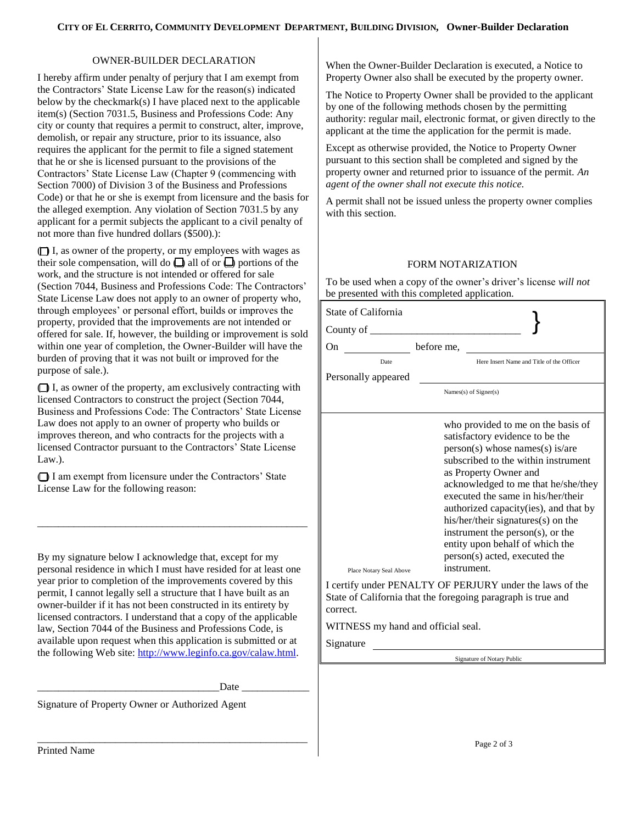# OWNER-BUILDER DECLARATION

I hereby affirm under penalty of perjury that I am exempt from the Contractors' State License Law for the reason(s) indicated below by the checkmark(s) I have placed next to the applicable item(s) (Section 7031.5, Business and Professions Code: Any city or county that requires a permit to construct, alter, improve, demolish, or repair any structure, prior to its issuance, also requires the applicant for the permit to file a signed statement that he or she is licensed pursuant to the provisions of the Contractors' State License Law (Chapter 9 (commencing with Section 7000) of Division 3 of the Business and Professions Code) or that he or she is exempt from licensure and the basis for the alleged exemption. Any violation of Section 7031.5 by any applicant for a permit subjects the applicant to a civil penalty of not more than five hundred dollars (\$500).):

(\_) I, as owner of the property, or my employees with wages as their sole compensation, will do  $\Box$  all of or  $\Box$  portions of the work, and the structure is not intended or offered for sale (Section 7044, Business and Professions Code: The Contractors' State License Law does not apply to an owner of property who, through employees' or personal effort, builds or improves the property, provided that the improvements are not intended or offered for sale. If, however, the building or improvement is sold within one year of completion, the Owner-Builder will have the burden of proving that it was not built or improved for the purpose of sale.).

 $\Box$  I, as owner of the property, am exclusively contracting with licensed Contractors to construct the project (Section 7044, Business and Professions Code: The Contractors' State License Law does not apply to an owner of property who builds or improves thereon, and who contracts for the projects with a licensed Contractor pursuant to the Contractors' State License Law.).

(\_) I am exempt from licensure under the Contractors' State License Law for the following reason:

\_\_\_\_\_\_\_\_\_\_\_\_\_\_\_\_\_\_\_\_\_\_\_\_\_\_\_\_\_\_\_\_\_\_\_\_\_\_\_\_\_\_\_\_\_\_\_\_\_\_\_\_

By my signature below I acknowledge that, except for my personal residence in which I must have resided for at least one year prior to completion of the improvements covered by this permit, I cannot legally sell a structure that I have built as an owner-builder if it has not been constructed in its entirety by licensed contractors. I understand that a copy of the applicable law, Section 7044 of the Business and Professions Code, is available upon request when this application is submitted or at the following Web site[: http://www.leginfo.ca.gov/calaw.html.](http://www.leginfo.ca.gov/calaw.html)

\_\_\_\_\_\_\_\_\_\_\_\_\_\_\_\_\_\_\_\_\_\_\_\_\_\_\_\_\_\_\_\_\_\_\_\_\_\_\_\_\_\_\_\_\_\_\_\_\_\_\_\_

\_\_\_\_\_\_\_\_\_\_\_\_\_\_\_\_\_\_\_\_\_\_\_\_\_\_\_\_\_\_\_\_\_\_\_Date \_\_\_\_\_\_\_\_\_\_\_\_\_

Signature of Property Owner or Authorized Agent

When the Owner-Builder Declaration is executed, a Notice to Property Owner also shall be executed by the property owner.

The Notice to Property Owner shall be provided to the applicant by one of the following methods chosen by the permitting authority: regular mail, electronic format, or given directly to the applicant at the time the application for the permit is made.

Except as otherwise provided, the Notice to Property Owner pursuant to this section shall be completed and signed by the property owner and returned prior to issuance of the permit. *An agent of the owner shall not execute this notice.*

A permit shall not be issued unless the property owner complies with this section.

# FORM NOTARIZATION

To be used when a copy of the owner's driver's license *will not* be presented with this completed application.

| On                  |      | before me,  |                                                                                                                                                                                                                                                                                                                                                                                |
|---------------------|------|-------------|--------------------------------------------------------------------------------------------------------------------------------------------------------------------------------------------------------------------------------------------------------------------------------------------------------------------------------------------------------------------------------|
|                     | Date |             | Here Insert Name and Title of the Officer                                                                                                                                                                                                                                                                                                                                      |
| Personally appeared |      |             |                                                                                                                                                                                                                                                                                                                                                                                |
|                     |      |             | Names(s) of $Signer(s)$                                                                                                                                                                                                                                                                                                                                                        |
|                     |      |             | who provided to me on the basis of<br>satisfactory evidence to be the<br>$person(s)$ whose names(s) is/are<br>subscribed to the within instrument<br>as Property Owner and<br>acknowledged to me that he/she/they<br>executed the same in his/her/their<br>authorized capacity(ies), and that by<br>his/her/their signatures(s) on the<br>instrument the person $(s)$ , or the |
|                     |      | instrument. | entity upon behalf of which the<br>person(s) acted, executed the                                                                                                                                                                                                                                                                                                               |

WITNESS my hand and official seal.

Signature

Signature of Notary Public